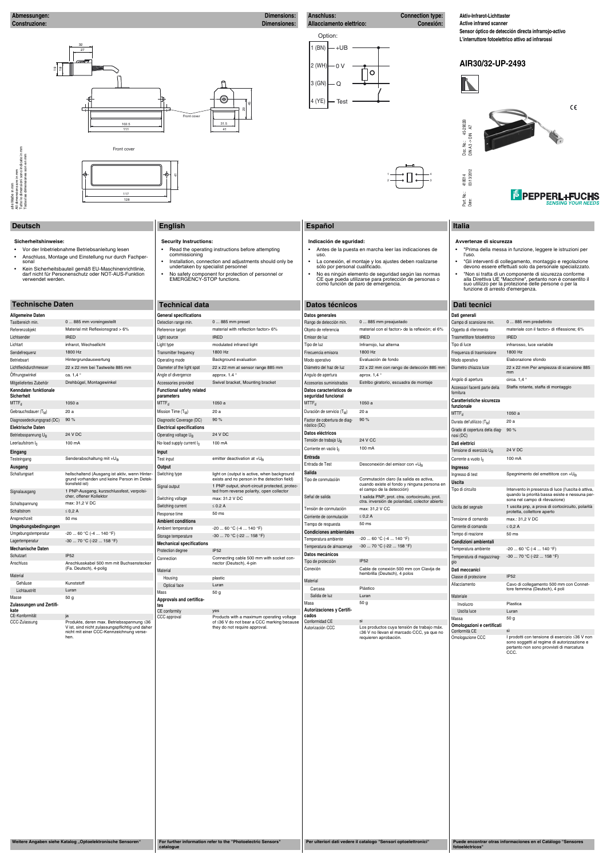#### **Abmessungen: Dimensions: Construzione: Dimensiones:**

**Connection type: Allacciamento elettrico: Conexión:**

#### **Deutsch English Español Italia**

- **Sicherheitshinweise:**
- Vor der Inbetriebnahme Betriebsanleitung lesen
- Anschluss, Montage und Einstellung nur durch Fachpersonal
- Kein Sicherheitsbauteil gemäß EU-Maschinenrichtlinie, darf nicht für Personenschutz oder NOT-AUS-Funktion verwendet werden.
- **Security Instructions:** • Read the operating instructions before attempting commissioning
- Installation, connection and adjustments should only be undertaken by specialist personnel
- No safety component for protection of personnel or EMERGENCY-STOP functions.

19 <u>م</u>

## **Avvertenze di sicurezza**

- "Prima della messa in funzione, leggere le istruzioni per l'uso.
- "Gli interventi di collegamento, montaggio e regolazione devono essere effettuati solo da personale specializzato. • "Non si tratta di un componente di sicurezza conforme alla Direttiva UE "Macchine", pertanto non è consentito il suo utilizzo per la protezione delle persone o per la funzione di arresto d'emergenza.

## **Indicación de sguridad:**

• Antes de la puesta en marcha leer las indicaciones de uso. • La conexión, el montaje y los ajustes deben roalizarse sólo por personal cualificado.

• No es ningún elemento de seguridad según las normas CE que pueda utilizarse para protección de personas o como función de paro de emergencia.

#### Option: 1 (BN)  $-+UB$ 2 (WH)  $-0V$  $\mathsf O$ 3 (GN) Q 4 (YE) Test



#### 32 27  $\circledcirc$ 毋 42  $\Box$ ని Front cover 102.5 || 31.5  $11<sup>1</sup>$ 41

alle Maße in mm<br>All dimensions are in mm<br>Tutte le dimensioni sono indicate in mm<br>Todas las dimensiones son en mm

**Aktiv-Infrarot-Lichttaster**

**Active infrared scanner Sensor óptico de detección directa infrarrojo-activo L'interruttore fotoelettrico attivo ad infrarossi**



#### **Technische Daten Technical data Datos técnicos Dati tecnici Allgemeine Daten** Tastbereich min. 0 ... 885 mm voreingestellt Referenzobjekt Material mit Reflexionsgrad > 6% Lichtsender IRED Lichtart infrarot, Wechsellicht Sendefrequenz 1800 Hz Betriebsart **Hintergrundauswertung** Lichtfleckdurchmesser 22 x 22 mm bei Tastweite 885 mm Offnungswinkel ca. 1,4 ° Mitgeliefertes Zubehör Drehbügel, Montagewinkel **Kenndaten funktionale Sicherheit**  $\mathsf{MTTF}_\mathsf{d}$  , and the 1050 a Gebrauchsdauer  $(T_M)$  20 a Diagnosedeckungsgrad (DC) 90 % **Elektrische Daten** Betriebsspannung  $U_B$  24 V DC Leerlaufstrom I<sub>0</sub> 100 mA **Eingang** Testeingang Senderabschaltung mit +U<sub>B</sub> **Ausgang** Schaltungsart hellschaltend (Ausgang ist aktiv, wenn Hintergrund vorhanden und keine Person im Detektionsfeld ist) Signalausgang 1 PNP-Ausgang, kurzschlussfest, verpolsicher, offener Kollektor Schaltspannung max: 31,2 V DC  $Schaltstrom \leq 0,2$  A Ansprechzeit 50 ms **Umgebungsbedingungen** Umgebungstemperatur -20 ... 60 °C (-4 ... 140 °F) Lagertemperatur -30 ... 70 °C (-22 ... 158 °F) **Mechanische Daten** Schutzart **IP52** Anschluss Anschlusskabel 500 mm mit Buchsenstecker (Fa. Deutsch), 4-polig Material Gehäuse Kunststoff Lichtaustritt Luran **parameters Input Output Ambient conditions** Material

| material con el factor> de la reflexión; el 6%<br>materiale con il factor> di riflessione; 6%<br>Referenzobjekt<br>Material mit Reflexionsgrad > 6%<br>Reference target<br>material with reflection factor> 6%<br>Objeto de referencia<br>Oggetto di riferimento<br><b>IRED</b><br><b>IRED</b><br><b>IRED</b><br><b>IRED</b><br>Lichtsender<br>Light source<br>Emisor de luz<br>Trasmettitore fotoelettrico<br>Lichtart<br>infrarot, Wechsellicht<br>Light type<br>modulated infrared light<br>Tipo de luz<br>Infrarrojo, luz alterna<br>Tipo di luce<br>infrarosso, luce variabile<br>Sendefrequenz<br>1800 Hz<br>1800 Hz<br>1800 Hz<br>1800 Hz<br>Transmitter frequency<br>Frecuencia emisora<br>Frequenza di trasmissione<br>Background evaluation<br>Evaluación de fondo<br>Elaborazione sfondo<br>Betriebsart<br>Hintergrundauswertung<br>Operating mode<br>Modo operativo<br>Modo operativo<br>Lichtfleckdurchmesser<br>22 x 22 mm con rango de detección 885 mm<br>22 x 22 mm bei Tastweite 885 mm<br>Diameter of the light spot<br>22 x 22 mm at sensor range 885 mm<br>Diámetro del haz de luz<br>Diametro chiazza luce<br>22 x 22 mm Per ampiezza di scansione 885<br>mm<br>ca. 1.4 °<br>Öffnungswinkel<br>approx. 1.4 °<br>Angle of divergence<br>Angulo de apertura<br>aprox. 1,4<br>circa. $1.4$ $^{\circ}$<br>Angolo di apertura<br>Mitgeliefertes Zubehör<br>Drehbügel, Montagewinkel<br>Swivel bracket, Mounting bracket<br>Estribo giratorio, escuadra de montaje<br>Accessories provided<br>Accesorios suministrados<br>Staffa rotante, staffa di montaggio<br>Accessori facenti parte della<br>Kenndaten funktionale<br><b>Functional safety related</b><br>Datos característicos de<br>fornitura<br>Sicherheit<br>seguridad funcional<br>parameters<br>Caratteristiche sicurezza<br>$MTTF_d$<br>$MTTF_d$<br>1050 a<br>$MTTF_d$<br>1050 a<br>1050 a<br>funzionale<br>Mission Time $(T_M)$<br>20 a<br>Duración de servicio (T <sub>M</sub> )<br>20 a<br>Gebrauchsdauer (T <sub>M</sub> )<br>20 a<br>MTTF <sub>d</sub><br>1050 a<br>90%<br>90 %<br>Factor de cobertura de diag-<br>90%<br>Diagnosedeckungsgrad (DC)<br>Diagnostic Coverage (DC)<br>Durata del'utilizzo (T <sub>M</sub> )<br>20 a<br>nóstico (DC)<br><b>Elektrische Daten</b><br><b>Electrical specifications</b><br>Grado di copertura della diag-<br>90%<br>Datos eléctricos<br>24 V DC<br>24 V DC<br>Betriebsspannung U <sub>R</sub><br>Operating voltage U <sub>B</sub><br>nosi (DC)<br>24 V CC<br>Tensión de trabajo U <sub>B</sub><br>100 mA<br>100 mA<br>Dati elettrici<br>Leerlaufstrom $I_0$<br>No-load supply current $I_0$<br>Corriente en vacío I <sub>0</sub><br>100 mA<br><b>24 V DC</b><br>Tensione di esercizio UR<br>Input<br>Eingang<br><b>Entrada</b><br>Senderabschaltung mit +U <sub>B</sub><br>emitter deactivation at $+U_B$<br>Corrente a vuoto $I_0$<br>100 mA<br>Testeingang<br>Test input<br>Entrada de Test<br>Desconexión del emisor con +UB<br>Output<br>Ausgang<br>Ingresso<br>Salida<br>hellschaltend (Ausgang ist aktiv, wenn Hinter-<br>Schaltungsart<br>Switching type<br>light on (output is active, when background<br>Spegnimento del emettitore con +U <sub>B</sub><br>Ingresso di test<br>grund vorhanden und keine Person im Detek-<br>exists and no person in the detection field)<br>Tipo de conmutación<br>Conmutación claro (la salida es activa,<br>Uscita<br>tionsfeld ist)<br>cuando existe el fondo y ninguna persona en<br>1 PNP output, short-circuit protected, protec-<br>Signal output<br>el campo de la detección)<br>Tipo di circuito<br>Intervento in presenza di luce (l'uscita è attiva,<br>1 PNP-Ausgang, kurzschlussfest, verpolsi-<br>ted from reverse polarity, open collector<br>Signalausgang<br>cher, offener Kollektor<br>Señal de salida<br>1 salida PNP, prot. ctra. cortocircuito, prot.<br>Switching voltage<br>max: 31.2 V DC<br>sona nel campo di rilevazione)<br>ctra. inversión de polaridad, colector abierto<br>max: 31,2 V DC<br>Schaltspannung<br>$\leq$ 0.2 A<br>Switching current<br>1 uscita pnp, a prova di cortocircuito, polarità<br>Uscita del segnale<br>Tensión de conmutación<br>max: 31,2 V CC<br>$\leq 0.2$ A<br>Schaltstrom<br>protetta, collettore aperto<br>50 ms<br>Response time<br>$\leq$ 0.2 A<br>Corriente de conmutación<br>50 ms<br>Ansprechzeit<br>max.: 31,2 V DC<br>Tensione di comando<br><b>Ambient conditions</b><br>Tiempo de respuesta<br>50 ms<br>Umgebungsbedingungen<br>Corrente di comando<br>$\leq$ 0.2 A<br>$-20$ 60 °C ( $-4$ 140 °F)<br>Ambient temperature<br><b>Condiciones ambientales</b><br>$-2060$ °C ( $-4140$ °F)<br>Umgebungstemperatur<br>Tempo di reazione<br>50 ms<br>$-30$ 70 °C (-22  158 °F)<br>Storage temperature<br>$-2060 °C (-4140 °F)$<br>Temperatura ambiente<br>$-3070$ °C ( $-22158$ °F)<br>Lagertemperatur<br>Condizioni ambientali<br><b>Mechanical specifications</b><br>-30  70 °C (-22  158 °F)<br>Temperatura de almacenaje<br><b>Mechanische Daten</b><br>Temperatura ambiente<br>$-2060 °C (-4140 °F)$<br><b>IP52</b><br>Protection degree<br>Datos mecánicos<br>IP52<br>Schutzart<br>$-3070$ °C ( $-22158$ °F)<br>Temperatura di magazzinag-<br>Connecting cable 500 mm with socket con-<br>Connection<br><b>IP52</b><br>Tipo de protección<br>gio<br>Anschlusskabel 500 mm mit Buchsenstecker<br>Anschluss<br>nector (Deutsch), 4-pin<br>(Fa. Deutsch), 4-polig<br>Conexión<br>Cable de conexión 500 mm con Clavija de<br>Dati meccanici<br><b>Material</b><br>hembrilla (Deutsch), 4 polos<br>Material<br><b>IP52</b><br>Classe di protezione<br>plastic<br>Housing<br>Material<br>Gehäuse<br>Kunststoff<br>Cavo di collegamento 500 mm con Connet-<br>Allacciamento<br>Luran<br>Optical face<br>Plástico<br>Carcasa<br>tore femmina (Deutsch), 4 poli<br>Lichtaustritt<br>Luran<br>50 g<br>Mass<br>Salida de luz<br>Luran<br>Materiale<br>Masse<br>50 <sub>g</sub><br>Approvals and certifica-<br>Masa<br>50 <sub>g</sub><br>Plastica<br>Involucro<br>Zulassungen und Zertifi-<br>tes<br><b>Autorizaciones y Certifi-</b><br>kate<br>CE conformity<br>Luran<br>yes<br>Uscita luce<br>CE-Konformität<br>ja<br>cados<br>CCC approval<br>Products with a maximum operating voltage<br>Massa<br>50 g<br>si<br>Conformidad CE<br>Produkte, deren max. Betriebsspannung ≤36<br>of ≤36 V do not bear a CCC marking because<br>CCC-Zulassung<br>Omologazioni e certificati<br>V ist, sind nicht zulassungspflichtig und daher<br>they do not require approval.<br>Autorización CCC<br>Los productos cuya tensión de trabajo máx.<br>Conformità CE<br>sì<br>nicht mit einer CCC-Kennzeichnung verse-<br>≤36 V no llevan el marcado CCC, ya que no<br>hen.<br>Omologazione CCC<br>I prodotti con tensione di esercizio ≤36 V non<br>requieren aprobación.<br>sono soggetti al regime di autorizzazione e<br>pertanto non sono provvisti di marcatura<br>CCC.<br>Weitere Angaben siehe Katalog "Optoelektronische Sensoren"<br>For further information refer to the "Photoelectric Sensors"<br>Per ulteriori dati vedere il catalogo "Sensori optoelettronici"<br>Puede encontrar otras informaciones en el Catálogo "Sensores<br>fotoeléctricos"<br>catalogue | Tastbereich min. | 0  885 mm voreingestellt | Detection range min. | 0  885 mm preset | Rango de detección mín. | 0  885 mm preajustado | Campo di scansione min | 0  885 mm predefinito                          |
|----------------------------------------------------------------------------------------------------------------------------------------------------------------------------------------------------------------------------------------------------------------------------------------------------------------------------------------------------------------------------------------------------------------------------------------------------------------------------------------------------------------------------------------------------------------------------------------------------------------------------------------------------------------------------------------------------------------------------------------------------------------------------------------------------------------------------------------------------------------------------------------------------------------------------------------------------------------------------------------------------------------------------------------------------------------------------------------------------------------------------------------------------------------------------------------------------------------------------------------------------------------------------------------------------------------------------------------------------------------------------------------------------------------------------------------------------------------------------------------------------------------------------------------------------------------------------------------------------------------------------------------------------------------------------------------------------------------------------------------------------------------------------------------------------------------------------------------------------------------------------------------------------------------------------------------------------------------------------------------------------------------------------------------------------------------------------------------------------------------------------------------------------------------------------------------------------------------------------------------------------------------------------------------------------------------------------------------------------------------------------------------------------------------------------------------------------------------------------------------------------------------------------------------------------------------------------------------------------------------------------------------------------------------------------------------------------------------------------------------------------------------------------------------------------------------------------------------------------------------------------------------------------------------------------------------------------------------------------------------------------------------------------------------------------------------------------------------------------------------------------------------------------------------------------------------------------------------------------------------------------------------------------------------------------------------------------------------------------------------------------------------------------------------------------------------------------------------------------------------------------------------------------------------------------------------------------------------------------------------------------------------------------------------------------------------------------------------------------------------------------------------------------------------------------------------------------------------------------------------------------------------------------------------------------------------------------------------------------------------------------------------------------------------------------------------------------------------------------------------------------------------------------------------------------------------------------------------------------------------------------------------------------------------------------------------------------------------------------------------------------------------------------------------------------------------------------------------------------------------------------------------------------------------------------------------------------------------------------------------------------------------------------------------------------------------------------------------------------------------------------------------------------------------------------------------------------------------------------------------------------------------------------------------------------------------------------------------------------------------------------------------------------------------------------------------------------------------------------------------------------------------------------------------------------------------------------------------------------------------------------------------------------------------------------------------------------------------------------------------------------------------------------------------------------------------------------------------------------------------------------------------------------------------------------------------------------------------------------------------------------------------------------------------------------------------------------------------------------------------------------------------------------------------------------------------------------------------------------------------------------------------------------------------------------------------------------------------------------------------------------------------------------------------------------------------------------------------------------------------------------------------------------------------------------------------------------------------------------------------------------------------------------------------------------------------------------------------------------------------------------------------------------------------------------------------------------------------------------------------------------------------------------------------------------------------------------------------------------------------------------------------------------------------------------------------------------------------------------------------------------------------------------------------------------------------------------------------------------------------------------------------------------------------------------------------------------------------------------------------------------------------------------------------------------------------------------------------------------------------------------------------------------------------------------------------------|------------------|--------------------------|----------------------|------------------|-------------------------|-----------------------|------------------------|------------------------------------------------|
|                                                                                                                                                                                                                                                                                                                                                                                                                                                                                                                                                                                                                                                                                                                                                                                                                                                                                                                                                                                                                                                                                                                                                                                                                                                                                                                                                                                                                                                                                                                                                                                                                                                                                                                                                                                                                                                                                                                                                                                                                                                                                                                                                                                                                                                                                                                                                                                                                                                                                                                                                                                                                                                                                                                                                                                                                                                                                                                                                                                                                                                                                                                                                                                                                                                                                                                                                                                                                                                                                                                                                                                                                                                                                                                                                                                                                                                                                                                                                                                                                                                                                                                                                                                                                                                                                                                                                                                                                                                                                                                                                                                                                                                                                                                                                                                                                                                                                                                                                                                                                                                                                                                                                                                                                                                                                                                                                                                                                                                                                                                                                                                                                                                                                                                                                                                                                                                                                                                                                                                                                                                                                                                                                                                                                                                                                                                                                                                                                                                                                                                                                                                                                                                                                                                                                                                                                                                                                                                                                                                                                                                                                                                                                                                              |                  |                          |                      |                  |                         |                       |                        |                                                |
|                                                                                                                                                                                                                                                                                                                                                                                                                                                                                                                                                                                                                                                                                                                                                                                                                                                                                                                                                                                                                                                                                                                                                                                                                                                                                                                                                                                                                                                                                                                                                                                                                                                                                                                                                                                                                                                                                                                                                                                                                                                                                                                                                                                                                                                                                                                                                                                                                                                                                                                                                                                                                                                                                                                                                                                                                                                                                                                                                                                                                                                                                                                                                                                                                                                                                                                                                                                                                                                                                                                                                                                                                                                                                                                                                                                                                                                                                                                                                                                                                                                                                                                                                                                                                                                                                                                                                                                                                                                                                                                                                                                                                                                                                                                                                                                                                                                                                                                                                                                                                                                                                                                                                                                                                                                                                                                                                                                                                                                                                                                                                                                                                                                                                                                                                                                                                                                                                                                                                                                                                                                                                                                                                                                                                                                                                                                                                                                                                                                                                                                                                                                                                                                                                                                                                                                                                                                                                                                                                                                                                                                                                                                                                                                              |                  |                          |                      |                  |                         |                       |                        |                                                |
|                                                                                                                                                                                                                                                                                                                                                                                                                                                                                                                                                                                                                                                                                                                                                                                                                                                                                                                                                                                                                                                                                                                                                                                                                                                                                                                                                                                                                                                                                                                                                                                                                                                                                                                                                                                                                                                                                                                                                                                                                                                                                                                                                                                                                                                                                                                                                                                                                                                                                                                                                                                                                                                                                                                                                                                                                                                                                                                                                                                                                                                                                                                                                                                                                                                                                                                                                                                                                                                                                                                                                                                                                                                                                                                                                                                                                                                                                                                                                                                                                                                                                                                                                                                                                                                                                                                                                                                                                                                                                                                                                                                                                                                                                                                                                                                                                                                                                                                                                                                                                                                                                                                                                                                                                                                                                                                                                                                                                                                                                                                                                                                                                                                                                                                                                                                                                                                                                                                                                                                                                                                                                                                                                                                                                                                                                                                                                                                                                                                                                                                                                                                                                                                                                                                                                                                                                                                                                                                                                                                                                                                                                                                                                                                              |                  |                          |                      |                  |                         |                       |                        |                                                |
|                                                                                                                                                                                                                                                                                                                                                                                                                                                                                                                                                                                                                                                                                                                                                                                                                                                                                                                                                                                                                                                                                                                                                                                                                                                                                                                                                                                                                                                                                                                                                                                                                                                                                                                                                                                                                                                                                                                                                                                                                                                                                                                                                                                                                                                                                                                                                                                                                                                                                                                                                                                                                                                                                                                                                                                                                                                                                                                                                                                                                                                                                                                                                                                                                                                                                                                                                                                                                                                                                                                                                                                                                                                                                                                                                                                                                                                                                                                                                                                                                                                                                                                                                                                                                                                                                                                                                                                                                                                                                                                                                                                                                                                                                                                                                                                                                                                                                                                                                                                                                                                                                                                                                                                                                                                                                                                                                                                                                                                                                                                                                                                                                                                                                                                                                                                                                                                                                                                                                                                                                                                                                                                                                                                                                                                                                                                                                                                                                                                                                                                                                                                                                                                                                                                                                                                                                                                                                                                                                                                                                                                                                                                                                                                              |                  |                          |                      |                  |                         |                       |                        |                                                |
|                                                                                                                                                                                                                                                                                                                                                                                                                                                                                                                                                                                                                                                                                                                                                                                                                                                                                                                                                                                                                                                                                                                                                                                                                                                                                                                                                                                                                                                                                                                                                                                                                                                                                                                                                                                                                                                                                                                                                                                                                                                                                                                                                                                                                                                                                                                                                                                                                                                                                                                                                                                                                                                                                                                                                                                                                                                                                                                                                                                                                                                                                                                                                                                                                                                                                                                                                                                                                                                                                                                                                                                                                                                                                                                                                                                                                                                                                                                                                                                                                                                                                                                                                                                                                                                                                                                                                                                                                                                                                                                                                                                                                                                                                                                                                                                                                                                                                                                                                                                                                                                                                                                                                                                                                                                                                                                                                                                                                                                                                                                                                                                                                                                                                                                                                                                                                                                                                                                                                                                                                                                                                                                                                                                                                                                                                                                                                                                                                                                                                                                                                                                                                                                                                                                                                                                                                                                                                                                                                                                                                                                                                                                                                                                              |                  |                          |                      |                  |                         |                       |                        |                                                |
|                                                                                                                                                                                                                                                                                                                                                                                                                                                                                                                                                                                                                                                                                                                                                                                                                                                                                                                                                                                                                                                                                                                                                                                                                                                                                                                                                                                                                                                                                                                                                                                                                                                                                                                                                                                                                                                                                                                                                                                                                                                                                                                                                                                                                                                                                                                                                                                                                                                                                                                                                                                                                                                                                                                                                                                                                                                                                                                                                                                                                                                                                                                                                                                                                                                                                                                                                                                                                                                                                                                                                                                                                                                                                                                                                                                                                                                                                                                                                                                                                                                                                                                                                                                                                                                                                                                                                                                                                                                                                                                                                                                                                                                                                                                                                                                                                                                                                                                                                                                                                                                                                                                                                                                                                                                                                                                                                                                                                                                                                                                                                                                                                                                                                                                                                                                                                                                                                                                                                                                                                                                                                                                                                                                                                                                                                                                                                                                                                                                                                                                                                                                                                                                                                                                                                                                                                                                                                                                                                                                                                                                                                                                                                                                              |                  |                          |                      |                  |                         |                       |                        |                                                |
|                                                                                                                                                                                                                                                                                                                                                                                                                                                                                                                                                                                                                                                                                                                                                                                                                                                                                                                                                                                                                                                                                                                                                                                                                                                                                                                                                                                                                                                                                                                                                                                                                                                                                                                                                                                                                                                                                                                                                                                                                                                                                                                                                                                                                                                                                                                                                                                                                                                                                                                                                                                                                                                                                                                                                                                                                                                                                                                                                                                                                                                                                                                                                                                                                                                                                                                                                                                                                                                                                                                                                                                                                                                                                                                                                                                                                                                                                                                                                                                                                                                                                                                                                                                                                                                                                                                                                                                                                                                                                                                                                                                                                                                                                                                                                                                                                                                                                                                                                                                                                                                                                                                                                                                                                                                                                                                                                                                                                                                                                                                                                                                                                                                                                                                                                                                                                                                                                                                                                                                                                                                                                                                                                                                                                                                                                                                                                                                                                                                                                                                                                                                                                                                                                                                                                                                                                                                                                                                                                                                                                                                                                                                                                                                              |                  |                          |                      |                  |                         |                       |                        |                                                |
|                                                                                                                                                                                                                                                                                                                                                                                                                                                                                                                                                                                                                                                                                                                                                                                                                                                                                                                                                                                                                                                                                                                                                                                                                                                                                                                                                                                                                                                                                                                                                                                                                                                                                                                                                                                                                                                                                                                                                                                                                                                                                                                                                                                                                                                                                                                                                                                                                                                                                                                                                                                                                                                                                                                                                                                                                                                                                                                                                                                                                                                                                                                                                                                                                                                                                                                                                                                                                                                                                                                                                                                                                                                                                                                                                                                                                                                                                                                                                                                                                                                                                                                                                                                                                                                                                                                                                                                                                                                                                                                                                                                                                                                                                                                                                                                                                                                                                                                                                                                                                                                                                                                                                                                                                                                                                                                                                                                                                                                                                                                                                                                                                                                                                                                                                                                                                                                                                                                                                                                                                                                                                                                                                                                                                                                                                                                                                                                                                                                                                                                                                                                                                                                                                                                                                                                                                                                                                                                                                                                                                                                                                                                                                                                              |                  |                          |                      |                  |                         |                       |                        |                                                |
|                                                                                                                                                                                                                                                                                                                                                                                                                                                                                                                                                                                                                                                                                                                                                                                                                                                                                                                                                                                                                                                                                                                                                                                                                                                                                                                                                                                                                                                                                                                                                                                                                                                                                                                                                                                                                                                                                                                                                                                                                                                                                                                                                                                                                                                                                                                                                                                                                                                                                                                                                                                                                                                                                                                                                                                                                                                                                                                                                                                                                                                                                                                                                                                                                                                                                                                                                                                                                                                                                                                                                                                                                                                                                                                                                                                                                                                                                                                                                                                                                                                                                                                                                                                                                                                                                                                                                                                                                                                                                                                                                                                                                                                                                                                                                                                                                                                                                                                                                                                                                                                                                                                                                                                                                                                                                                                                                                                                                                                                                                                                                                                                                                                                                                                                                                                                                                                                                                                                                                                                                                                                                                                                                                                                                                                                                                                                                                                                                                                                                                                                                                                                                                                                                                                                                                                                                                                                                                                                                                                                                                                                                                                                                                                              |                  |                          |                      |                  |                         |                       |                        |                                                |
|                                                                                                                                                                                                                                                                                                                                                                                                                                                                                                                                                                                                                                                                                                                                                                                                                                                                                                                                                                                                                                                                                                                                                                                                                                                                                                                                                                                                                                                                                                                                                                                                                                                                                                                                                                                                                                                                                                                                                                                                                                                                                                                                                                                                                                                                                                                                                                                                                                                                                                                                                                                                                                                                                                                                                                                                                                                                                                                                                                                                                                                                                                                                                                                                                                                                                                                                                                                                                                                                                                                                                                                                                                                                                                                                                                                                                                                                                                                                                                                                                                                                                                                                                                                                                                                                                                                                                                                                                                                                                                                                                                                                                                                                                                                                                                                                                                                                                                                                                                                                                                                                                                                                                                                                                                                                                                                                                                                                                                                                                                                                                                                                                                                                                                                                                                                                                                                                                                                                                                                                                                                                                                                                                                                                                                                                                                                                                                                                                                                                                                                                                                                                                                                                                                                                                                                                                                                                                                                                                                                                                                                                                                                                                                                              |                  |                          |                      |                  |                         |                       |                        |                                                |
|                                                                                                                                                                                                                                                                                                                                                                                                                                                                                                                                                                                                                                                                                                                                                                                                                                                                                                                                                                                                                                                                                                                                                                                                                                                                                                                                                                                                                                                                                                                                                                                                                                                                                                                                                                                                                                                                                                                                                                                                                                                                                                                                                                                                                                                                                                                                                                                                                                                                                                                                                                                                                                                                                                                                                                                                                                                                                                                                                                                                                                                                                                                                                                                                                                                                                                                                                                                                                                                                                                                                                                                                                                                                                                                                                                                                                                                                                                                                                                                                                                                                                                                                                                                                                                                                                                                                                                                                                                                                                                                                                                                                                                                                                                                                                                                                                                                                                                                                                                                                                                                                                                                                                                                                                                                                                                                                                                                                                                                                                                                                                                                                                                                                                                                                                                                                                                                                                                                                                                                                                                                                                                                                                                                                                                                                                                                                                                                                                                                                                                                                                                                                                                                                                                                                                                                                                                                                                                                                                                                                                                                                                                                                                                                              |                  |                          |                      |                  |                         |                       |                        |                                                |
|                                                                                                                                                                                                                                                                                                                                                                                                                                                                                                                                                                                                                                                                                                                                                                                                                                                                                                                                                                                                                                                                                                                                                                                                                                                                                                                                                                                                                                                                                                                                                                                                                                                                                                                                                                                                                                                                                                                                                                                                                                                                                                                                                                                                                                                                                                                                                                                                                                                                                                                                                                                                                                                                                                                                                                                                                                                                                                                                                                                                                                                                                                                                                                                                                                                                                                                                                                                                                                                                                                                                                                                                                                                                                                                                                                                                                                                                                                                                                                                                                                                                                                                                                                                                                                                                                                                                                                                                                                                                                                                                                                                                                                                                                                                                                                                                                                                                                                                                                                                                                                                                                                                                                                                                                                                                                                                                                                                                                                                                                                                                                                                                                                                                                                                                                                                                                                                                                                                                                                                                                                                                                                                                                                                                                                                                                                                                                                                                                                                                                                                                                                                                                                                                                                                                                                                                                                                                                                                                                                                                                                                                                                                                                                                              |                  |                          |                      |                  |                         |                       |                        |                                                |
|                                                                                                                                                                                                                                                                                                                                                                                                                                                                                                                                                                                                                                                                                                                                                                                                                                                                                                                                                                                                                                                                                                                                                                                                                                                                                                                                                                                                                                                                                                                                                                                                                                                                                                                                                                                                                                                                                                                                                                                                                                                                                                                                                                                                                                                                                                                                                                                                                                                                                                                                                                                                                                                                                                                                                                                                                                                                                                                                                                                                                                                                                                                                                                                                                                                                                                                                                                                                                                                                                                                                                                                                                                                                                                                                                                                                                                                                                                                                                                                                                                                                                                                                                                                                                                                                                                                                                                                                                                                                                                                                                                                                                                                                                                                                                                                                                                                                                                                                                                                                                                                                                                                                                                                                                                                                                                                                                                                                                                                                                                                                                                                                                                                                                                                                                                                                                                                                                                                                                                                                                                                                                                                                                                                                                                                                                                                                                                                                                                                                                                                                                                                                                                                                                                                                                                                                                                                                                                                                                                                                                                                                                                                                                                                              |                  |                          |                      |                  |                         |                       |                        |                                                |
|                                                                                                                                                                                                                                                                                                                                                                                                                                                                                                                                                                                                                                                                                                                                                                                                                                                                                                                                                                                                                                                                                                                                                                                                                                                                                                                                                                                                                                                                                                                                                                                                                                                                                                                                                                                                                                                                                                                                                                                                                                                                                                                                                                                                                                                                                                                                                                                                                                                                                                                                                                                                                                                                                                                                                                                                                                                                                                                                                                                                                                                                                                                                                                                                                                                                                                                                                                                                                                                                                                                                                                                                                                                                                                                                                                                                                                                                                                                                                                                                                                                                                                                                                                                                                                                                                                                                                                                                                                                                                                                                                                                                                                                                                                                                                                                                                                                                                                                                                                                                                                                                                                                                                                                                                                                                                                                                                                                                                                                                                                                                                                                                                                                                                                                                                                                                                                                                                                                                                                                                                                                                                                                                                                                                                                                                                                                                                                                                                                                                                                                                                                                                                                                                                                                                                                                                                                                                                                                                                                                                                                                                                                                                                                                              |                  |                          |                      |                  |                         |                       |                        |                                                |
|                                                                                                                                                                                                                                                                                                                                                                                                                                                                                                                                                                                                                                                                                                                                                                                                                                                                                                                                                                                                                                                                                                                                                                                                                                                                                                                                                                                                                                                                                                                                                                                                                                                                                                                                                                                                                                                                                                                                                                                                                                                                                                                                                                                                                                                                                                                                                                                                                                                                                                                                                                                                                                                                                                                                                                                                                                                                                                                                                                                                                                                                                                                                                                                                                                                                                                                                                                                                                                                                                                                                                                                                                                                                                                                                                                                                                                                                                                                                                                                                                                                                                                                                                                                                                                                                                                                                                                                                                                                                                                                                                                                                                                                                                                                                                                                                                                                                                                                                                                                                                                                                                                                                                                                                                                                                                                                                                                                                                                                                                                                                                                                                                                                                                                                                                                                                                                                                                                                                                                                                                                                                                                                                                                                                                                                                                                                                                                                                                                                                                                                                                                                                                                                                                                                                                                                                                                                                                                                                                                                                                                                                                                                                                                                              |                  |                          |                      |                  |                         |                       |                        |                                                |
|                                                                                                                                                                                                                                                                                                                                                                                                                                                                                                                                                                                                                                                                                                                                                                                                                                                                                                                                                                                                                                                                                                                                                                                                                                                                                                                                                                                                                                                                                                                                                                                                                                                                                                                                                                                                                                                                                                                                                                                                                                                                                                                                                                                                                                                                                                                                                                                                                                                                                                                                                                                                                                                                                                                                                                                                                                                                                                                                                                                                                                                                                                                                                                                                                                                                                                                                                                                                                                                                                                                                                                                                                                                                                                                                                                                                                                                                                                                                                                                                                                                                                                                                                                                                                                                                                                                                                                                                                                                                                                                                                                                                                                                                                                                                                                                                                                                                                                                                                                                                                                                                                                                                                                                                                                                                                                                                                                                                                                                                                                                                                                                                                                                                                                                                                                                                                                                                                                                                                                                                                                                                                                                                                                                                                                                                                                                                                                                                                                                                                                                                                                                                                                                                                                                                                                                                                                                                                                                                                                                                                                                                                                                                                                                              |                  |                          |                      |                  |                         |                       |                        |                                                |
|                                                                                                                                                                                                                                                                                                                                                                                                                                                                                                                                                                                                                                                                                                                                                                                                                                                                                                                                                                                                                                                                                                                                                                                                                                                                                                                                                                                                                                                                                                                                                                                                                                                                                                                                                                                                                                                                                                                                                                                                                                                                                                                                                                                                                                                                                                                                                                                                                                                                                                                                                                                                                                                                                                                                                                                                                                                                                                                                                                                                                                                                                                                                                                                                                                                                                                                                                                                                                                                                                                                                                                                                                                                                                                                                                                                                                                                                                                                                                                                                                                                                                                                                                                                                                                                                                                                                                                                                                                                                                                                                                                                                                                                                                                                                                                                                                                                                                                                                                                                                                                                                                                                                                                                                                                                                                                                                                                                                                                                                                                                                                                                                                                                                                                                                                                                                                                                                                                                                                                                                                                                                                                                                                                                                                                                                                                                                                                                                                                                                                                                                                                                                                                                                                                                                                                                                                                                                                                                                                                                                                                                                                                                                                                                              |                  |                          |                      |                  |                         |                       |                        |                                                |
|                                                                                                                                                                                                                                                                                                                                                                                                                                                                                                                                                                                                                                                                                                                                                                                                                                                                                                                                                                                                                                                                                                                                                                                                                                                                                                                                                                                                                                                                                                                                                                                                                                                                                                                                                                                                                                                                                                                                                                                                                                                                                                                                                                                                                                                                                                                                                                                                                                                                                                                                                                                                                                                                                                                                                                                                                                                                                                                                                                                                                                                                                                                                                                                                                                                                                                                                                                                                                                                                                                                                                                                                                                                                                                                                                                                                                                                                                                                                                                                                                                                                                                                                                                                                                                                                                                                                                                                                                                                                                                                                                                                                                                                                                                                                                                                                                                                                                                                                                                                                                                                                                                                                                                                                                                                                                                                                                                                                                                                                                                                                                                                                                                                                                                                                                                                                                                                                                                                                                                                                                                                                                                                                                                                                                                                                                                                                                                                                                                                                                                                                                                                                                                                                                                                                                                                                                                                                                                                                                                                                                                                                                                                                                                                              |                  |                          |                      |                  |                         |                       |                        |                                                |
|                                                                                                                                                                                                                                                                                                                                                                                                                                                                                                                                                                                                                                                                                                                                                                                                                                                                                                                                                                                                                                                                                                                                                                                                                                                                                                                                                                                                                                                                                                                                                                                                                                                                                                                                                                                                                                                                                                                                                                                                                                                                                                                                                                                                                                                                                                                                                                                                                                                                                                                                                                                                                                                                                                                                                                                                                                                                                                                                                                                                                                                                                                                                                                                                                                                                                                                                                                                                                                                                                                                                                                                                                                                                                                                                                                                                                                                                                                                                                                                                                                                                                                                                                                                                                                                                                                                                                                                                                                                                                                                                                                                                                                                                                                                                                                                                                                                                                                                                                                                                                                                                                                                                                                                                                                                                                                                                                                                                                                                                                                                                                                                                                                                                                                                                                                                                                                                                                                                                                                                                                                                                                                                                                                                                                                                                                                                                                                                                                                                                                                                                                                                                                                                                                                                                                                                                                                                                                                                                                                                                                                                                                                                                                                                              |                  |                          |                      |                  |                         |                       |                        |                                                |
|                                                                                                                                                                                                                                                                                                                                                                                                                                                                                                                                                                                                                                                                                                                                                                                                                                                                                                                                                                                                                                                                                                                                                                                                                                                                                                                                                                                                                                                                                                                                                                                                                                                                                                                                                                                                                                                                                                                                                                                                                                                                                                                                                                                                                                                                                                                                                                                                                                                                                                                                                                                                                                                                                                                                                                                                                                                                                                                                                                                                                                                                                                                                                                                                                                                                                                                                                                                                                                                                                                                                                                                                                                                                                                                                                                                                                                                                                                                                                                                                                                                                                                                                                                                                                                                                                                                                                                                                                                                                                                                                                                                                                                                                                                                                                                                                                                                                                                                                                                                                                                                                                                                                                                                                                                                                                                                                                                                                                                                                                                                                                                                                                                                                                                                                                                                                                                                                                                                                                                                                                                                                                                                                                                                                                                                                                                                                                                                                                                                                                                                                                                                                                                                                                                                                                                                                                                                                                                                                                                                                                                                                                                                                                                                              |                  |                          |                      |                  |                         |                       |                        |                                                |
|                                                                                                                                                                                                                                                                                                                                                                                                                                                                                                                                                                                                                                                                                                                                                                                                                                                                                                                                                                                                                                                                                                                                                                                                                                                                                                                                                                                                                                                                                                                                                                                                                                                                                                                                                                                                                                                                                                                                                                                                                                                                                                                                                                                                                                                                                                                                                                                                                                                                                                                                                                                                                                                                                                                                                                                                                                                                                                                                                                                                                                                                                                                                                                                                                                                                                                                                                                                                                                                                                                                                                                                                                                                                                                                                                                                                                                                                                                                                                                                                                                                                                                                                                                                                                                                                                                                                                                                                                                                                                                                                                                                                                                                                                                                                                                                                                                                                                                                                                                                                                                                                                                                                                                                                                                                                                                                                                                                                                                                                                                                                                                                                                                                                                                                                                                                                                                                                                                                                                                                                                                                                                                                                                                                                                                                                                                                                                                                                                                                                                                                                                                                                                                                                                                                                                                                                                                                                                                                                                                                                                                                                                                                                                                                              |                  |                          |                      |                  |                         |                       |                        |                                                |
|                                                                                                                                                                                                                                                                                                                                                                                                                                                                                                                                                                                                                                                                                                                                                                                                                                                                                                                                                                                                                                                                                                                                                                                                                                                                                                                                                                                                                                                                                                                                                                                                                                                                                                                                                                                                                                                                                                                                                                                                                                                                                                                                                                                                                                                                                                                                                                                                                                                                                                                                                                                                                                                                                                                                                                                                                                                                                                                                                                                                                                                                                                                                                                                                                                                                                                                                                                                                                                                                                                                                                                                                                                                                                                                                                                                                                                                                                                                                                                                                                                                                                                                                                                                                                                                                                                                                                                                                                                                                                                                                                                                                                                                                                                                                                                                                                                                                                                                                                                                                                                                                                                                                                                                                                                                                                                                                                                                                                                                                                                                                                                                                                                                                                                                                                                                                                                                                                                                                                                                                                                                                                                                                                                                                                                                                                                                                                                                                                                                                                                                                                                                                                                                                                                                                                                                                                                                                                                                                                                                                                                                                                                                                                                                              |                  |                          |                      |                  |                         |                       |                        |                                                |
|                                                                                                                                                                                                                                                                                                                                                                                                                                                                                                                                                                                                                                                                                                                                                                                                                                                                                                                                                                                                                                                                                                                                                                                                                                                                                                                                                                                                                                                                                                                                                                                                                                                                                                                                                                                                                                                                                                                                                                                                                                                                                                                                                                                                                                                                                                                                                                                                                                                                                                                                                                                                                                                                                                                                                                                                                                                                                                                                                                                                                                                                                                                                                                                                                                                                                                                                                                                                                                                                                                                                                                                                                                                                                                                                                                                                                                                                                                                                                                                                                                                                                                                                                                                                                                                                                                                                                                                                                                                                                                                                                                                                                                                                                                                                                                                                                                                                                                                                                                                                                                                                                                                                                                                                                                                                                                                                                                                                                                                                                                                                                                                                                                                                                                                                                                                                                                                                                                                                                                                                                                                                                                                                                                                                                                                                                                                                                                                                                                                                                                                                                                                                                                                                                                                                                                                                                                                                                                                                                                                                                                                                                                                                                                                              |                  |                          |                      |                  |                         |                       |                        |                                                |
|                                                                                                                                                                                                                                                                                                                                                                                                                                                                                                                                                                                                                                                                                                                                                                                                                                                                                                                                                                                                                                                                                                                                                                                                                                                                                                                                                                                                                                                                                                                                                                                                                                                                                                                                                                                                                                                                                                                                                                                                                                                                                                                                                                                                                                                                                                                                                                                                                                                                                                                                                                                                                                                                                                                                                                                                                                                                                                                                                                                                                                                                                                                                                                                                                                                                                                                                                                                                                                                                                                                                                                                                                                                                                                                                                                                                                                                                                                                                                                                                                                                                                                                                                                                                                                                                                                                                                                                                                                                                                                                                                                                                                                                                                                                                                                                                                                                                                                                                                                                                                                                                                                                                                                                                                                                                                                                                                                                                                                                                                                                                                                                                                                                                                                                                                                                                                                                                                                                                                                                                                                                                                                                                                                                                                                                                                                                                                                                                                                                                                                                                                                                                                                                                                                                                                                                                                                                                                                                                                                                                                                                                                                                                                                                              |                  |                          |                      |                  |                         |                       |                        |                                                |
|                                                                                                                                                                                                                                                                                                                                                                                                                                                                                                                                                                                                                                                                                                                                                                                                                                                                                                                                                                                                                                                                                                                                                                                                                                                                                                                                                                                                                                                                                                                                                                                                                                                                                                                                                                                                                                                                                                                                                                                                                                                                                                                                                                                                                                                                                                                                                                                                                                                                                                                                                                                                                                                                                                                                                                                                                                                                                                                                                                                                                                                                                                                                                                                                                                                                                                                                                                                                                                                                                                                                                                                                                                                                                                                                                                                                                                                                                                                                                                                                                                                                                                                                                                                                                                                                                                                                                                                                                                                                                                                                                                                                                                                                                                                                                                                                                                                                                                                                                                                                                                                                                                                                                                                                                                                                                                                                                                                                                                                                                                                                                                                                                                                                                                                                                                                                                                                                                                                                                                                                                                                                                                                                                                                                                                                                                                                                                                                                                                                                                                                                                                                                                                                                                                                                                                                                                                                                                                                                                                                                                                                                                                                                                                                              |                  |                          |                      |                  |                         |                       |                        |                                                |
|                                                                                                                                                                                                                                                                                                                                                                                                                                                                                                                                                                                                                                                                                                                                                                                                                                                                                                                                                                                                                                                                                                                                                                                                                                                                                                                                                                                                                                                                                                                                                                                                                                                                                                                                                                                                                                                                                                                                                                                                                                                                                                                                                                                                                                                                                                                                                                                                                                                                                                                                                                                                                                                                                                                                                                                                                                                                                                                                                                                                                                                                                                                                                                                                                                                                                                                                                                                                                                                                                                                                                                                                                                                                                                                                                                                                                                                                                                                                                                                                                                                                                                                                                                                                                                                                                                                                                                                                                                                                                                                                                                                                                                                                                                                                                                                                                                                                                                                                                                                                                                                                                                                                                                                                                                                                                                                                                                                                                                                                                                                                                                                                                                                                                                                                                                                                                                                                                                                                                                                                                                                                                                                                                                                                                                                                                                                                                                                                                                                                                                                                                                                                                                                                                                                                                                                                                                                                                                                                                                                                                                                                                                                                                                                              |                  |                          |                      |                  |                         |                       |                        |                                                |
|                                                                                                                                                                                                                                                                                                                                                                                                                                                                                                                                                                                                                                                                                                                                                                                                                                                                                                                                                                                                                                                                                                                                                                                                                                                                                                                                                                                                                                                                                                                                                                                                                                                                                                                                                                                                                                                                                                                                                                                                                                                                                                                                                                                                                                                                                                                                                                                                                                                                                                                                                                                                                                                                                                                                                                                                                                                                                                                                                                                                                                                                                                                                                                                                                                                                                                                                                                                                                                                                                                                                                                                                                                                                                                                                                                                                                                                                                                                                                                                                                                                                                                                                                                                                                                                                                                                                                                                                                                                                                                                                                                                                                                                                                                                                                                                                                                                                                                                                                                                                                                                                                                                                                                                                                                                                                                                                                                                                                                                                                                                                                                                                                                                                                                                                                                                                                                                                                                                                                                                                                                                                                                                                                                                                                                                                                                                                                                                                                                                                                                                                                                                                                                                                                                                                                                                                                                                                                                                                                                                                                                                                                                                                                                                              |                  |                          |                      |                  |                         |                       |                        | quando la priorità bassa esiste e nessuna per- |
|                                                                                                                                                                                                                                                                                                                                                                                                                                                                                                                                                                                                                                                                                                                                                                                                                                                                                                                                                                                                                                                                                                                                                                                                                                                                                                                                                                                                                                                                                                                                                                                                                                                                                                                                                                                                                                                                                                                                                                                                                                                                                                                                                                                                                                                                                                                                                                                                                                                                                                                                                                                                                                                                                                                                                                                                                                                                                                                                                                                                                                                                                                                                                                                                                                                                                                                                                                                                                                                                                                                                                                                                                                                                                                                                                                                                                                                                                                                                                                                                                                                                                                                                                                                                                                                                                                                                                                                                                                                                                                                                                                                                                                                                                                                                                                                                                                                                                                                                                                                                                                                                                                                                                                                                                                                                                                                                                                                                                                                                                                                                                                                                                                                                                                                                                                                                                                                                                                                                                                                                                                                                                                                                                                                                                                                                                                                                                                                                                                                                                                                                                                                                                                                                                                                                                                                                                                                                                                                                                                                                                                                                                                                                                                                              |                  |                          |                      |                  |                         |                       |                        |                                                |
|                                                                                                                                                                                                                                                                                                                                                                                                                                                                                                                                                                                                                                                                                                                                                                                                                                                                                                                                                                                                                                                                                                                                                                                                                                                                                                                                                                                                                                                                                                                                                                                                                                                                                                                                                                                                                                                                                                                                                                                                                                                                                                                                                                                                                                                                                                                                                                                                                                                                                                                                                                                                                                                                                                                                                                                                                                                                                                                                                                                                                                                                                                                                                                                                                                                                                                                                                                                                                                                                                                                                                                                                                                                                                                                                                                                                                                                                                                                                                                                                                                                                                                                                                                                                                                                                                                                                                                                                                                                                                                                                                                                                                                                                                                                                                                                                                                                                                                                                                                                                                                                                                                                                                                                                                                                                                                                                                                                                                                                                                                                                                                                                                                                                                                                                                                                                                                                                                                                                                                                                                                                                                                                                                                                                                                                                                                                                                                                                                                                                                                                                                                                                                                                                                                                                                                                                                                                                                                                                                                                                                                                                                                                                                                                              |                  |                          |                      |                  |                         |                       |                        |                                                |
|                                                                                                                                                                                                                                                                                                                                                                                                                                                                                                                                                                                                                                                                                                                                                                                                                                                                                                                                                                                                                                                                                                                                                                                                                                                                                                                                                                                                                                                                                                                                                                                                                                                                                                                                                                                                                                                                                                                                                                                                                                                                                                                                                                                                                                                                                                                                                                                                                                                                                                                                                                                                                                                                                                                                                                                                                                                                                                                                                                                                                                                                                                                                                                                                                                                                                                                                                                                                                                                                                                                                                                                                                                                                                                                                                                                                                                                                                                                                                                                                                                                                                                                                                                                                                                                                                                                                                                                                                                                                                                                                                                                                                                                                                                                                                                                                                                                                                                                                                                                                                                                                                                                                                                                                                                                                                                                                                                                                                                                                                                                                                                                                                                                                                                                                                                                                                                                                                                                                                                                                                                                                                                                                                                                                                                                                                                                                                                                                                                                                                                                                                                                                                                                                                                                                                                                                                                                                                                                                                                                                                                                                                                                                                                                              |                  |                          |                      |                  |                         |                       |                        |                                                |
|                                                                                                                                                                                                                                                                                                                                                                                                                                                                                                                                                                                                                                                                                                                                                                                                                                                                                                                                                                                                                                                                                                                                                                                                                                                                                                                                                                                                                                                                                                                                                                                                                                                                                                                                                                                                                                                                                                                                                                                                                                                                                                                                                                                                                                                                                                                                                                                                                                                                                                                                                                                                                                                                                                                                                                                                                                                                                                                                                                                                                                                                                                                                                                                                                                                                                                                                                                                                                                                                                                                                                                                                                                                                                                                                                                                                                                                                                                                                                                                                                                                                                                                                                                                                                                                                                                                                                                                                                                                                                                                                                                                                                                                                                                                                                                                                                                                                                                                                                                                                                                                                                                                                                                                                                                                                                                                                                                                                                                                                                                                                                                                                                                                                                                                                                                                                                                                                                                                                                                                                                                                                                                                                                                                                                                                                                                                                                                                                                                                                                                                                                                                                                                                                                                                                                                                                                                                                                                                                                                                                                                                                                                                                                                                              |                  |                          |                      |                  |                         |                       |                        |                                                |
|                                                                                                                                                                                                                                                                                                                                                                                                                                                                                                                                                                                                                                                                                                                                                                                                                                                                                                                                                                                                                                                                                                                                                                                                                                                                                                                                                                                                                                                                                                                                                                                                                                                                                                                                                                                                                                                                                                                                                                                                                                                                                                                                                                                                                                                                                                                                                                                                                                                                                                                                                                                                                                                                                                                                                                                                                                                                                                                                                                                                                                                                                                                                                                                                                                                                                                                                                                                                                                                                                                                                                                                                                                                                                                                                                                                                                                                                                                                                                                                                                                                                                                                                                                                                                                                                                                                                                                                                                                                                                                                                                                                                                                                                                                                                                                                                                                                                                                                                                                                                                                                                                                                                                                                                                                                                                                                                                                                                                                                                                                                                                                                                                                                                                                                                                                                                                                                                                                                                                                                                                                                                                                                                                                                                                                                                                                                                                                                                                                                                                                                                                                                                                                                                                                                                                                                                                                                                                                                                                                                                                                                                                                                                                                                              |                  |                          |                      |                  |                         |                       |                        |                                                |
|                                                                                                                                                                                                                                                                                                                                                                                                                                                                                                                                                                                                                                                                                                                                                                                                                                                                                                                                                                                                                                                                                                                                                                                                                                                                                                                                                                                                                                                                                                                                                                                                                                                                                                                                                                                                                                                                                                                                                                                                                                                                                                                                                                                                                                                                                                                                                                                                                                                                                                                                                                                                                                                                                                                                                                                                                                                                                                                                                                                                                                                                                                                                                                                                                                                                                                                                                                                                                                                                                                                                                                                                                                                                                                                                                                                                                                                                                                                                                                                                                                                                                                                                                                                                                                                                                                                                                                                                                                                                                                                                                                                                                                                                                                                                                                                                                                                                                                                                                                                                                                                                                                                                                                                                                                                                                                                                                                                                                                                                                                                                                                                                                                                                                                                                                                                                                                                                                                                                                                                                                                                                                                                                                                                                                                                                                                                                                                                                                                                                                                                                                                                                                                                                                                                                                                                                                                                                                                                                                                                                                                                                                                                                                                                              |                  |                          |                      |                  |                         |                       |                        |                                                |
|                                                                                                                                                                                                                                                                                                                                                                                                                                                                                                                                                                                                                                                                                                                                                                                                                                                                                                                                                                                                                                                                                                                                                                                                                                                                                                                                                                                                                                                                                                                                                                                                                                                                                                                                                                                                                                                                                                                                                                                                                                                                                                                                                                                                                                                                                                                                                                                                                                                                                                                                                                                                                                                                                                                                                                                                                                                                                                                                                                                                                                                                                                                                                                                                                                                                                                                                                                                                                                                                                                                                                                                                                                                                                                                                                                                                                                                                                                                                                                                                                                                                                                                                                                                                                                                                                                                                                                                                                                                                                                                                                                                                                                                                                                                                                                                                                                                                                                                                                                                                                                                                                                                                                                                                                                                                                                                                                                                                                                                                                                                                                                                                                                                                                                                                                                                                                                                                                                                                                                                                                                                                                                                                                                                                                                                                                                                                                                                                                                                                                                                                                                                                                                                                                                                                                                                                                                                                                                                                                                                                                                                                                                                                                                                              |                  |                          |                      |                  |                         |                       |                        |                                                |
|                                                                                                                                                                                                                                                                                                                                                                                                                                                                                                                                                                                                                                                                                                                                                                                                                                                                                                                                                                                                                                                                                                                                                                                                                                                                                                                                                                                                                                                                                                                                                                                                                                                                                                                                                                                                                                                                                                                                                                                                                                                                                                                                                                                                                                                                                                                                                                                                                                                                                                                                                                                                                                                                                                                                                                                                                                                                                                                                                                                                                                                                                                                                                                                                                                                                                                                                                                                                                                                                                                                                                                                                                                                                                                                                                                                                                                                                                                                                                                                                                                                                                                                                                                                                                                                                                                                                                                                                                                                                                                                                                                                                                                                                                                                                                                                                                                                                                                                                                                                                                                                                                                                                                                                                                                                                                                                                                                                                                                                                                                                                                                                                                                                                                                                                                                                                                                                                                                                                                                                                                                                                                                                                                                                                                                                                                                                                                                                                                                                                                                                                                                                                                                                                                                                                                                                                                                                                                                                                                                                                                                                                                                                                                                                              |                  |                          |                      |                  |                         |                       |                        |                                                |
|                                                                                                                                                                                                                                                                                                                                                                                                                                                                                                                                                                                                                                                                                                                                                                                                                                                                                                                                                                                                                                                                                                                                                                                                                                                                                                                                                                                                                                                                                                                                                                                                                                                                                                                                                                                                                                                                                                                                                                                                                                                                                                                                                                                                                                                                                                                                                                                                                                                                                                                                                                                                                                                                                                                                                                                                                                                                                                                                                                                                                                                                                                                                                                                                                                                                                                                                                                                                                                                                                                                                                                                                                                                                                                                                                                                                                                                                                                                                                                                                                                                                                                                                                                                                                                                                                                                                                                                                                                                                                                                                                                                                                                                                                                                                                                                                                                                                                                                                                                                                                                                                                                                                                                                                                                                                                                                                                                                                                                                                                                                                                                                                                                                                                                                                                                                                                                                                                                                                                                                                                                                                                                                                                                                                                                                                                                                                                                                                                                                                                                                                                                                                                                                                                                                                                                                                                                                                                                                                                                                                                                                                                                                                                                                              |                  |                          |                      |                  |                         |                       |                        |                                                |
|                                                                                                                                                                                                                                                                                                                                                                                                                                                                                                                                                                                                                                                                                                                                                                                                                                                                                                                                                                                                                                                                                                                                                                                                                                                                                                                                                                                                                                                                                                                                                                                                                                                                                                                                                                                                                                                                                                                                                                                                                                                                                                                                                                                                                                                                                                                                                                                                                                                                                                                                                                                                                                                                                                                                                                                                                                                                                                                                                                                                                                                                                                                                                                                                                                                                                                                                                                                                                                                                                                                                                                                                                                                                                                                                                                                                                                                                                                                                                                                                                                                                                                                                                                                                                                                                                                                                                                                                                                                                                                                                                                                                                                                                                                                                                                                                                                                                                                                                                                                                                                                                                                                                                                                                                                                                                                                                                                                                                                                                                                                                                                                                                                                                                                                                                                                                                                                                                                                                                                                                                                                                                                                                                                                                                                                                                                                                                                                                                                                                                                                                                                                                                                                                                                                                                                                                                                                                                                                                                                                                                                                                                                                                                                                              |                  |                          |                      |                  |                         |                       |                        |                                                |
|                                                                                                                                                                                                                                                                                                                                                                                                                                                                                                                                                                                                                                                                                                                                                                                                                                                                                                                                                                                                                                                                                                                                                                                                                                                                                                                                                                                                                                                                                                                                                                                                                                                                                                                                                                                                                                                                                                                                                                                                                                                                                                                                                                                                                                                                                                                                                                                                                                                                                                                                                                                                                                                                                                                                                                                                                                                                                                                                                                                                                                                                                                                                                                                                                                                                                                                                                                                                                                                                                                                                                                                                                                                                                                                                                                                                                                                                                                                                                                                                                                                                                                                                                                                                                                                                                                                                                                                                                                                                                                                                                                                                                                                                                                                                                                                                                                                                                                                                                                                                                                                                                                                                                                                                                                                                                                                                                                                                                                                                                                                                                                                                                                                                                                                                                                                                                                                                                                                                                                                                                                                                                                                                                                                                                                                                                                                                                                                                                                                                                                                                                                                                                                                                                                                                                                                                                                                                                                                                                                                                                                                                                                                                                                                              |                  |                          |                      |                  |                         |                       |                        |                                                |
|                                                                                                                                                                                                                                                                                                                                                                                                                                                                                                                                                                                                                                                                                                                                                                                                                                                                                                                                                                                                                                                                                                                                                                                                                                                                                                                                                                                                                                                                                                                                                                                                                                                                                                                                                                                                                                                                                                                                                                                                                                                                                                                                                                                                                                                                                                                                                                                                                                                                                                                                                                                                                                                                                                                                                                                                                                                                                                                                                                                                                                                                                                                                                                                                                                                                                                                                                                                                                                                                                                                                                                                                                                                                                                                                                                                                                                                                                                                                                                                                                                                                                                                                                                                                                                                                                                                                                                                                                                                                                                                                                                                                                                                                                                                                                                                                                                                                                                                                                                                                                                                                                                                                                                                                                                                                                                                                                                                                                                                                                                                                                                                                                                                                                                                                                                                                                                                                                                                                                                                                                                                                                                                                                                                                                                                                                                                                                                                                                                                                                                                                                                                                                                                                                                                                                                                                                                                                                                                                                                                                                                                                                                                                                                                              |                  |                          |                      |                  |                         |                       |                        |                                                |
|                                                                                                                                                                                                                                                                                                                                                                                                                                                                                                                                                                                                                                                                                                                                                                                                                                                                                                                                                                                                                                                                                                                                                                                                                                                                                                                                                                                                                                                                                                                                                                                                                                                                                                                                                                                                                                                                                                                                                                                                                                                                                                                                                                                                                                                                                                                                                                                                                                                                                                                                                                                                                                                                                                                                                                                                                                                                                                                                                                                                                                                                                                                                                                                                                                                                                                                                                                                                                                                                                                                                                                                                                                                                                                                                                                                                                                                                                                                                                                                                                                                                                                                                                                                                                                                                                                                                                                                                                                                                                                                                                                                                                                                                                                                                                                                                                                                                                                                                                                                                                                                                                                                                                                                                                                                                                                                                                                                                                                                                                                                                                                                                                                                                                                                                                                                                                                                                                                                                                                                                                                                                                                                                                                                                                                                                                                                                                                                                                                                                                                                                                                                                                                                                                                                                                                                                                                                                                                                                                                                                                                                                                                                                                                                              |                  |                          |                      |                  |                         |                       |                        |                                                |
|                                                                                                                                                                                                                                                                                                                                                                                                                                                                                                                                                                                                                                                                                                                                                                                                                                                                                                                                                                                                                                                                                                                                                                                                                                                                                                                                                                                                                                                                                                                                                                                                                                                                                                                                                                                                                                                                                                                                                                                                                                                                                                                                                                                                                                                                                                                                                                                                                                                                                                                                                                                                                                                                                                                                                                                                                                                                                                                                                                                                                                                                                                                                                                                                                                                                                                                                                                                                                                                                                                                                                                                                                                                                                                                                                                                                                                                                                                                                                                                                                                                                                                                                                                                                                                                                                                                                                                                                                                                                                                                                                                                                                                                                                                                                                                                                                                                                                                                                                                                                                                                                                                                                                                                                                                                                                                                                                                                                                                                                                                                                                                                                                                                                                                                                                                                                                                                                                                                                                                                                                                                                                                                                                                                                                                                                                                                                                                                                                                                                                                                                                                                                                                                                                                                                                                                                                                                                                                                                                                                                                                                                                                                                                                                              |                  |                          |                      |                  |                         |                       |                        |                                                |
|                                                                                                                                                                                                                                                                                                                                                                                                                                                                                                                                                                                                                                                                                                                                                                                                                                                                                                                                                                                                                                                                                                                                                                                                                                                                                                                                                                                                                                                                                                                                                                                                                                                                                                                                                                                                                                                                                                                                                                                                                                                                                                                                                                                                                                                                                                                                                                                                                                                                                                                                                                                                                                                                                                                                                                                                                                                                                                                                                                                                                                                                                                                                                                                                                                                                                                                                                                                                                                                                                                                                                                                                                                                                                                                                                                                                                                                                                                                                                                                                                                                                                                                                                                                                                                                                                                                                                                                                                                                                                                                                                                                                                                                                                                                                                                                                                                                                                                                                                                                                                                                                                                                                                                                                                                                                                                                                                                                                                                                                                                                                                                                                                                                                                                                                                                                                                                                                                                                                                                                                                                                                                                                                                                                                                                                                                                                                                                                                                                                                                                                                                                                                                                                                                                                                                                                                                                                                                                                                                                                                                                                                                                                                                                                              |                  |                          |                      |                  |                         |                       |                        |                                                |
|                                                                                                                                                                                                                                                                                                                                                                                                                                                                                                                                                                                                                                                                                                                                                                                                                                                                                                                                                                                                                                                                                                                                                                                                                                                                                                                                                                                                                                                                                                                                                                                                                                                                                                                                                                                                                                                                                                                                                                                                                                                                                                                                                                                                                                                                                                                                                                                                                                                                                                                                                                                                                                                                                                                                                                                                                                                                                                                                                                                                                                                                                                                                                                                                                                                                                                                                                                                                                                                                                                                                                                                                                                                                                                                                                                                                                                                                                                                                                                                                                                                                                                                                                                                                                                                                                                                                                                                                                                                                                                                                                                                                                                                                                                                                                                                                                                                                                                                                                                                                                                                                                                                                                                                                                                                                                                                                                                                                                                                                                                                                                                                                                                                                                                                                                                                                                                                                                                                                                                                                                                                                                                                                                                                                                                                                                                                                                                                                                                                                                                                                                                                                                                                                                                                                                                                                                                                                                                                                                                                                                                                                                                                                                                                              |                  |                          |                      |                  |                         |                       |                        |                                                |
|                                                                                                                                                                                                                                                                                                                                                                                                                                                                                                                                                                                                                                                                                                                                                                                                                                                                                                                                                                                                                                                                                                                                                                                                                                                                                                                                                                                                                                                                                                                                                                                                                                                                                                                                                                                                                                                                                                                                                                                                                                                                                                                                                                                                                                                                                                                                                                                                                                                                                                                                                                                                                                                                                                                                                                                                                                                                                                                                                                                                                                                                                                                                                                                                                                                                                                                                                                                                                                                                                                                                                                                                                                                                                                                                                                                                                                                                                                                                                                                                                                                                                                                                                                                                                                                                                                                                                                                                                                                                                                                                                                                                                                                                                                                                                                                                                                                                                                                                                                                                                                                                                                                                                                                                                                                                                                                                                                                                                                                                                                                                                                                                                                                                                                                                                                                                                                                                                                                                                                                                                                                                                                                                                                                                                                                                                                                                                                                                                                                                                                                                                                                                                                                                                                                                                                                                                                                                                                                                                                                                                                                                                                                                                                                              |                  |                          |                      |                  |                         |                       |                        |                                                |
|                                                                                                                                                                                                                                                                                                                                                                                                                                                                                                                                                                                                                                                                                                                                                                                                                                                                                                                                                                                                                                                                                                                                                                                                                                                                                                                                                                                                                                                                                                                                                                                                                                                                                                                                                                                                                                                                                                                                                                                                                                                                                                                                                                                                                                                                                                                                                                                                                                                                                                                                                                                                                                                                                                                                                                                                                                                                                                                                                                                                                                                                                                                                                                                                                                                                                                                                                                                                                                                                                                                                                                                                                                                                                                                                                                                                                                                                                                                                                                                                                                                                                                                                                                                                                                                                                                                                                                                                                                                                                                                                                                                                                                                                                                                                                                                                                                                                                                                                                                                                                                                                                                                                                                                                                                                                                                                                                                                                                                                                                                                                                                                                                                                                                                                                                                                                                                                                                                                                                                                                                                                                                                                                                                                                                                                                                                                                                                                                                                                                                                                                                                                                                                                                                                                                                                                                                                                                                                                                                                                                                                                                                                                                                                                              |                  |                          |                      |                  |                         |                       |                        |                                                |
|                                                                                                                                                                                                                                                                                                                                                                                                                                                                                                                                                                                                                                                                                                                                                                                                                                                                                                                                                                                                                                                                                                                                                                                                                                                                                                                                                                                                                                                                                                                                                                                                                                                                                                                                                                                                                                                                                                                                                                                                                                                                                                                                                                                                                                                                                                                                                                                                                                                                                                                                                                                                                                                                                                                                                                                                                                                                                                                                                                                                                                                                                                                                                                                                                                                                                                                                                                                                                                                                                                                                                                                                                                                                                                                                                                                                                                                                                                                                                                                                                                                                                                                                                                                                                                                                                                                                                                                                                                                                                                                                                                                                                                                                                                                                                                                                                                                                                                                                                                                                                                                                                                                                                                                                                                                                                                                                                                                                                                                                                                                                                                                                                                                                                                                                                                                                                                                                                                                                                                                                                                                                                                                                                                                                                                                                                                                                                                                                                                                                                                                                                                                                                                                                                                                                                                                                                                                                                                                                                                                                                                                                                                                                                                                              |                  |                          |                      |                  |                         |                       |                        |                                                |
|                                                                                                                                                                                                                                                                                                                                                                                                                                                                                                                                                                                                                                                                                                                                                                                                                                                                                                                                                                                                                                                                                                                                                                                                                                                                                                                                                                                                                                                                                                                                                                                                                                                                                                                                                                                                                                                                                                                                                                                                                                                                                                                                                                                                                                                                                                                                                                                                                                                                                                                                                                                                                                                                                                                                                                                                                                                                                                                                                                                                                                                                                                                                                                                                                                                                                                                                                                                                                                                                                                                                                                                                                                                                                                                                                                                                                                                                                                                                                                                                                                                                                                                                                                                                                                                                                                                                                                                                                                                                                                                                                                                                                                                                                                                                                                                                                                                                                                                                                                                                                                                                                                                                                                                                                                                                                                                                                                                                                                                                                                                                                                                                                                                                                                                                                                                                                                                                                                                                                                                                                                                                                                                                                                                                                                                                                                                                                                                                                                                                                                                                                                                                                                                                                                                                                                                                                                                                                                                                                                                                                                                                                                                                                                                              |                  |                          |                      |                  |                         |                       |                        |                                                |
|                                                                                                                                                                                                                                                                                                                                                                                                                                                                                                                                                                                                                                                                                                                                                                                                                                                                                                                                                                                                                                                                                                                                                                                                                                                                                                                                                                                                                                                                                                                                                                                                                                                                                                                                                                                                                                                                                                                                                                                                                                                                                                                                                                                                                                                                                                                                                                                                                                                                                                                                                                                                                                                                                                                                                                                                                                                                                                                                                                                                                                                                                                                                                                                                                                                                                                                                                                                                                                                                                                                                                                                                                                                                                                                                                                                                                                                                                                                                                                                                                                                                                                                                                                                                                                                                                                                                                                                                                                                                                                                                                                                                                                                                                                                                                                                                                                                                                                                                                                                                                                                                                                                                                                                                                                                                                                                                                                                                                                                                                                                                                                                                                                                                                                                                                                                                                                                                                                                                                                                                                                                                                                                                                                                                                                                                                                                                                                                                                                                                                                                                                                                                                                                                                                                                                                                                                                                                                                                                                                                                                                                                                                                                                                                              |                  |                          |                      |                  |                         |                       |                        |                                                |
|                                                                                                                                                                                                                                                                                                                                                                                                                                                                                                                                                                                                                                                                                                                                                                                                                                                                                                                                                                                                                                                                                                                                                                                                                                                                                                                                                                                                                                                                                                                                                                                                                                                                                                                                                                                                                                                                                                                                                                                                                                                                                                                                                                                                                                                                                                                                                                                                                                                                                                                                                                                                                                                                                                                                                                                                                                                                                                                                                                                                                                                                                                                                                                                                                                                                                                                                                                                                                                                                                                                                                                                                                                                                                                                                                                                                                                                                                                                                                                                                                                                                                                                                                                                                                                                                                                                                                                                                                                                                                                                                                                                                                                                                                                                                                                                                                                                                                                                                                                                                                                                                                                                                                                                                                                                                                                                                                                                                                                                                                                                                                                                                                                                                                                                                                                                                                                                                                                                                                                                                                                                                                                                                                                                                                                                                                                                                                                                                                                                                                                                                                                                                                                                                                                                                                                                                                                                                                                                                                                                                                                                                                                                                                                                              |                  |                          |                      |                  |                         |                       |                        |                                                |
|                                                                                                                                                                                                                                                                                                                                                                                                                                                                                                                                                                                                                                                                                                                                                                                                                                                                                                                                                                                                                                                                                                                                                                                                                                                                                                                                                                                                                                                                                                                                                                                                                                                                                                                                                                                                                                                                                                                                                                                                                                                                                                                                                                                                                                                                                                                                                                                                                                                                                                                                                                                                                                                                                                                                                                                                                                                                                                                                                                                                                                                                                                                                                                                                                                                                                                                                                                                                                                                                                                                                                                                                                                                                                                                                                                                                                                                                                                                                                                                                                                                                                                                                                                                                                                                                                                                                                                                                                                                                                                                                                                                                                                                                                                                                                                                                                                                                                                                                                                                                                                                                                                                                                                                                                                                                                                                                                                                                                                                                                                                                                                                                                                                                                                                                                                                                                                                                                                                                                                                                                                                                                                                                                                                                                                                                                                                                                                                                                                                                                                                                                                                                                                                                                                                                                                                                                                                                                                                                                                                                                                                                                                                                                                                              |                  |                          |                      |                  |                         |                       |                        |                                                |

|                 | <b>General specifications</b>                                  |                                                                                                                   |
|-----------------|----------------------------------------------------------------|-------------------------------------------------------------------------------------------------------------------|
|                 | Detection range min.                                           | 0  885 mm preset                                                                                                  |
|                 | Reference target                                               | material with reflection factor> 6%                                                                               |
|                 | Light source                                                   | <b>IRED</b>                                                                                                       |
|                 | Light type                                                     | modulated infrared light                                                                                          |
|                 | Transmitter frequency                                          | 1800 Hz                                                                                                           |
|                 | Operating mode                                                 | Background evaluation                                                                                             |
|                 | Diameter of the light spot                                     | 22 x 22 mm at sensor range 885 mm                                                                                 |
|                 | Angle of divergence                                            | approx. $1.4^{\circ}$                                                                                             |
|                 | Accessories provided                                           | Swivel bracket, Mounting bracket                                                                                  |
|                 | <b>Functional safety related</b><br>parameters                 |                                                                                                                   |
|                 | $MTTF_{\rm d}$                                                 | 1050 a                                                                                                            |
|                 | Mission Time (T <sub>M</sub> )                                 | 20 a                                                                                                              |
|                 | Diagnostic Coverage (DC)                                       | 90%                                                                                                               |
|                 | <b>Electrical specifications</b>                               |                                                                                                                   |
|                 | Operating voltage U <sub>B</sub>                               | 24 V DC                                                                                                           |
|                 | No-load supply current I <sub>0</sub>                          | 100 mA                                                                                                            |
|                 | Input                                                          |                                                                                                                   |
|                 | Test input                                                     | emitter deactivation at $+U_B$                                                                                    |
|                 | Output                                                         |                                                                                                                   |
| inter-<br>etek- | Switching type                                                 | light on (output is active, when backgrou<br>exists and no person in the detection fie                            |
| si-             | Signal output                                                  | 1 PNP output, short-circuit protected, pr<br>ted from reverse polarity, open collector                            |
|                 | Switching voltage                                              | max: 31.2 V DC                                                                                                    |
|                 | Switching current                                              | $\leq 0.2$ A                                                                                                      |
|                 | Response time                                                  | 50 ms                                                                                                             |
|                 | <b>Ambient conditions</b>                                      |                                                                                                                   |
|                 | Ambient temperature                                            | $-20$ 60 °C ( $-4$ 140 °F)                                                                                        |
|                 | Storage temperature                                            | $-30$ 70 °C (-22  158 °F)                                                                                         |
|                 | <b>Mechanical specifications</b>                               |                                                                                                                   |
|                 | Protection degree                                              | <b>IP52</b>                                                                                                       |
| cker            | Connection                                                     | Connecting cable 500 mm with socket c<br>nector (Deutsch), 4-pin                                                  |
|                 | Material                                                       |                                                                                                                   |
|                 | Housing                                                        | plastic                                                                                                           |
|                 | Optical face                                                   | Luran                                                                                                             |
|                 | Mass                                                           | 50 <sub>g</sub>                                                                                                   |
|                 | <b>Approvals and certifica-</b><br>tes<br><b>CE</b> conformity | yes                                                                                                               |
| ≤36<br>aher     | CCC approval                                                   | Products with a maximum operating volt<br>of ≤36 V do not bear a CCC marking beo<br>they do not require approval. |

| <b>Anschluss:</b> |  |
|-------------------|--|
| --                |  |

# **Dati generali**

| Datos generales                                 |                                                                                                                     |  |  |
|-------------------------------------------------|---------------------------------------------------------------------------------------------------------------------|--|--|
| Rango de detección mín.                         | 0  885 mm preajustado                                                                                               |  |  |
| Objeto de referencia                            | material con el factor> de la reflexión; el 6%                                                                      |  |  |
| Emisor de luz                                   | <b>IRED</b>                                                                                                         |  |  |
| Tipo de luz                                     | Infrarrojo, luz alterna                                                                                             |  |  |
| Frecuencia emisora                              | 1800 Hz                                                                                                             |  |  |
| Modo operativo                                  | Evaluación de fondo                                                                                                 |  |  |
| Diámetro del haz de luz                         | 22 x 22 mm con rango de detección 885 mm                                                                            |  |  |
| Angulo de apertura                              | aprox. $1,4$ $^{\circ}$                                                                                             |  |  |
| Accesorios suministrados                        | Estribo giratorio, escuadra de montaje                                                                              |  |  |
| Datos característicos de<br>seguridad funcional |                                                                                                                     |  |  |
| MTTF <sub>d</sub>                               | 1050 a                                                                                                              |  |  |
| Duración de servicio (T <sub>M</sub> )          | 20 a                                                                                                                |  |  |
| Factor de cobertura de diag-<br>nóstico (DC)    | 90%                                                                                                                 |  |  |
| Datos eléctricos                                |                                                                                                                     |  |  |
| Tensión de trabajo U <sub>B</sub>               | 24 V CC                                                                                                             |  |  |
| Corriente en vacío I <sub>n</sub>               | 100 mA                                                                                                              |  |  |
| Entrada                                         |                                                                                                                     |  |  |
| Entrada de Test                                 | Desconexión del emisor con +U <sub>B</sub>                                                                          |  |  |
| Salida                                          |                                                                                                                     |  |  |
| Tipo de conmutación                             | Conmutación claro (la salida es activa,<br>cuando existe el fondo y ninguna persona en<br>el campo de la detección) |  |  |
| Señal de salida                                 | 1 salida PNP, prot. ctra. cortocircuito, prot.<br>ctra. inversión de polaridad, colector abierto                    |  |  |
| Tensión de conmutación                          | max: 31,2 V CC                                                                                                      |  |  |
| Corriente de conmutación                        | $\leq 0.2$ A                                                                                                        |  |  |
| Tiempo de respuesta                             | 50 ms                                                                                                               |  |  |
| <b>Condiciones ambientales</b>                  |                                                                                                                     |  |  |
| Temperatura ambiente                            | -20  60 °C (-4  140 °F)                                                                                             |  |  |
| Temperatura de almacenaje                       | $-3070$ °C (-22  158 °F)                                                                                            |  |  |
| Datos mecánicos                                 |                                                                                                                     |  |  |
| Tipo de protección                              | <b>IP52</b>                                                                                                         |  |  |
| Conexión                                        | Cable de conexión 500 mm con Clavija de<br>hembrilla (Deutsch), 4 polos                                             |  |  |
| Material                                        |                                                                                                                     |  |  |
| Carcasa                                         | Plástico                                                                                                            |  |  |
| Salida de luz                                   | Luran                                                                                                               |  |  |
| Masa                                            | 50 <sub>g</sub>                                                                                                     |  |  |
| <b>Autorizaciones y Certifi-</b><br>cados       |                                                                                                                     |  |  |
| Conformidad CE<br>Autorización CCC              | si<br>Los productos cuya tensión de trabajo máx.                                                                    |  |  |
|                                                 | 28 V no lloven of marcado CCC w                                                                                     |  |  |

03/13/2012

Part. No.:<br>Date:





 $\varsigma\epsilon$ 

1 2 4